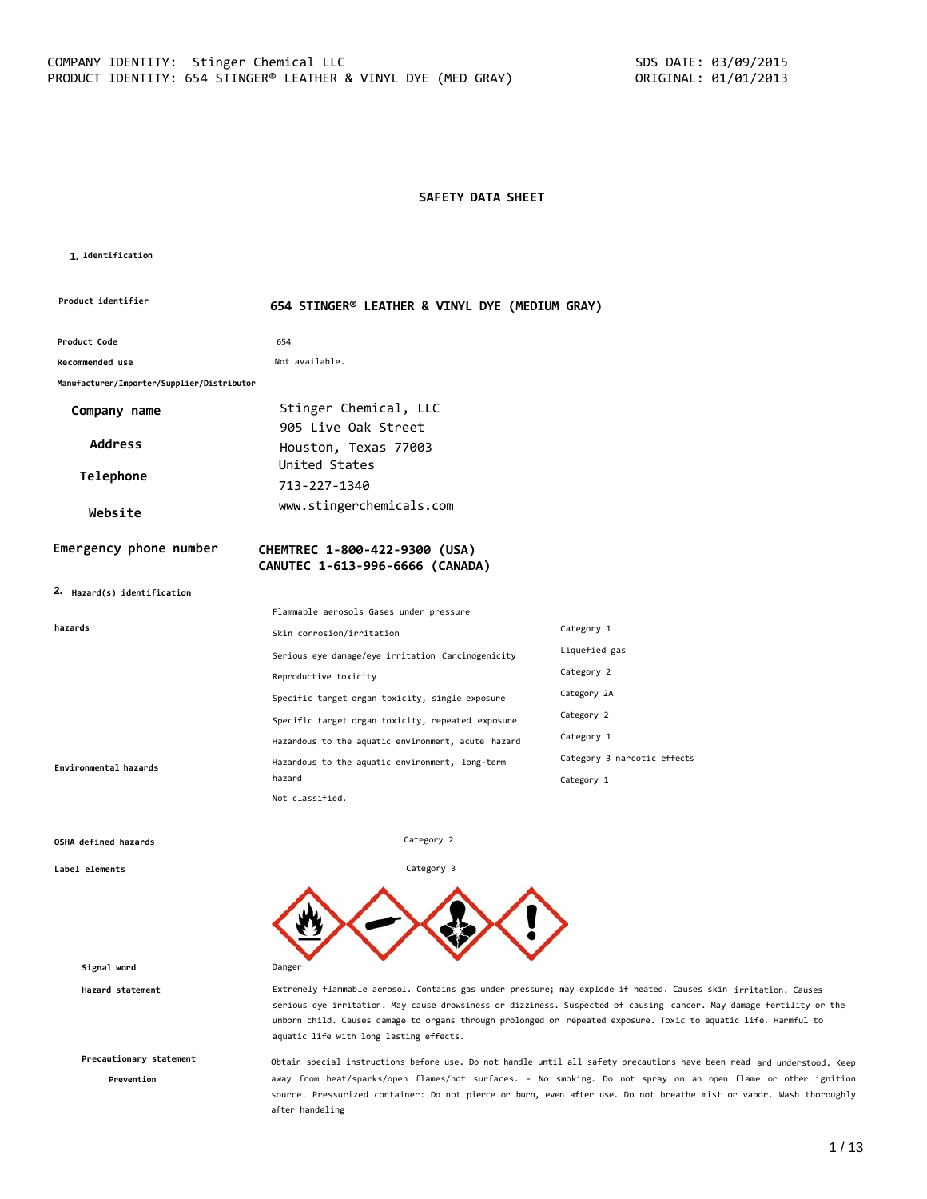## **SAFETY DATA SHEET**

#### **1. Identification**

| Product identifier                         | 654 STINGER® LEATHER & VINYL DYE (MEDIUM GRAY)                   |                             |
|--------------------------------------------|------------------------------------------------------------------|-----------------------------|
| Product Code                               | 654                                                              |                             |
| Recommended use                            | Not available.                                                   |                             |
| Manufacturer/Importer/Supplier/Distributor |                                                                  |                             |
| Company name                               | Stinger Chemical, LLC<br>905 Live Oak Street                     |                             |
| <b>Address</b>                             | Houston, Texas 77003                                             |                             |
| Telephone                                  | United States<br>713-227-1340                                    |                             |
| Website                                    | www.stingerchemicals.com                                         |                             |
| Emergency phone number                     | CHEMTREC 1-800-422-9300 (USA)<br>CANUTEC 1-613-996-6666 (CANADA) |                             |
| 2. Hazard(s) identification                |                                                                  |                             |
|                                            | Flammable aerosols Gases under pressure                          |                             |
| hazards                                    | Skin corrosion/irritation                                        | Category 1                  |
|                                            | Serious eye damage/eye irritation Carcinogenicity                | Liquefied gas               |
|                                            | Reproductive toxicity                                            | Category 2                  |
|                                            | Specific target organ toxicity, single exposure                  | Category 2A                 |
|                                            | Specific target organ toxicity, repeated exposure                | Category 2                  |
|                                            | Hazardous to the aquatic environment, acute hazard               | Category 1                  |
| Environmental hazards                      | Hazardous to the aquatic environment, long-term<br>hazard        | Category 3 narcotic effects |
|                                            | Not classified.                                                  | Category 1                  |

Category 2

Category 3

#### **OSHA defined hazards**

**Label elements**

**Signal word** Danger

**Precautionary statement**

**Prevention**

**Hazard statement** Extremely flammable aerosol. Contains gas under pressure; may explode if heated. Causes skin irritation. Causes serious eye irritation. May cause drowsiness or dizziness. Suspected of causing cancer. May damage fertility or the unborn child. Causes damage to organs through prolonged or repeated exposure. Toxic to aquatic life. Harmful to aquatic life with long lasting effects.

> Obtain special instructions before use. Do not handle until all safety precautions have been read and understood. Keep away from heat/sparks/open flames/hot surfaces. - No smoking. Do not spray on an open flame or other ignition source. Pressurized container: Do not pierce or burn, even after use. Do not breathe mist or vapor. Wash thoroughly after handeling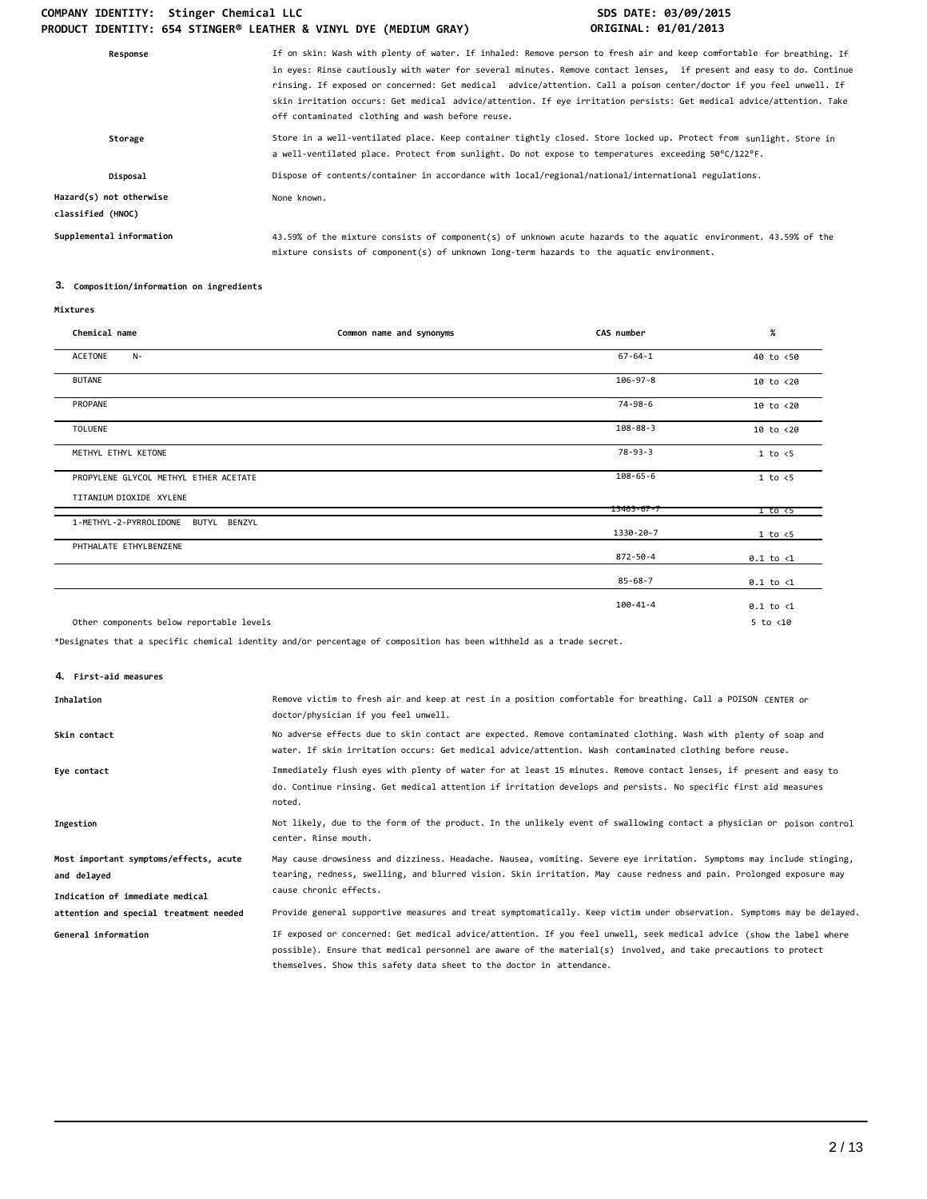| If on skin: Wash with plenty of water. If inhaled: Remove person to fresh air and keep comfortable for breathing. If<br>in eyes: Rinse cautiously with water for several minutes. Remove contact lenses, if present and easy to do. Continue<br>rinsing. If exposed or concerned: Get medical advice/attention. Call a poison center/doctor if you feel unwell. If<br>skin irritation occurs: Get medical advice/attention. If eye irritation persists: Get medical advice/attention. Take<br>off contaminated clothing and wash before reuse. |
|------------------------------------------------------------------------------------------------------------------------------------------------------------------------------------------------------------------------------------------------------------------------------------------------------------------------------------------------------------------------------------------------------------------------------------------------------------------------------------------------------------------------------------------------|
| Store in a well-ventilated place. Keep container tightly closed. Store locked up. Protect from sunlight. Store in<br>a well-ventilated place. Protect from sunlight. Do not expose to temperatures exceeding 50°C/122°F.                                                                                                                                                                                                                                                                                                                       |
| Dispose of contents/container in accordance with local/regional/national/international regulations.                                                                                                                                                                                                                                                                                                                                                                                                                                            |
| None known.                                                                                                                                                                                                                                                                                                                                                                                                                                                                                                                                    |
| 43.59% of the mixture consists of component(s) of unknown acute hazards to the aquatic environment. 43.59% of the<br>mixture consists of component(s) of unknown long-term hazards to the aquatic environment.                                                                                                                                                                                                                                                                                                                                 |
|                                                                                                                                                                                                                                                                                                                                                                                                                                                                                                                                                |

# **3. Composition/information on ingredients**

| Chemical name                             | Common name and synonyms | CAS number       | $\%$                 |
|-------------------------------------------|--------------------------|------------------|----------------------|
| ACETONE<br>$N-$                           |                          | $67 - 64 - 1$    | 40 to <50            |
| <b>BUTANE</b>                             |                          | $106 - 97 - 8$   | $10$ to $< 20$       |
| PROPANE                                   |                          | 74-98-6          | 10 to <20            |
| <b>TOLUENE</b>                            |                          | $108 - 88 - 3$   | 10 to <20            |
| METHYL ETHYL KETONE                       |                          | $78 - 93 - 3$    | 1 to < 5             |
| PROPYLENE GLYCOL METHYL ETHER ACETATE     |                          | $108 - 65 - 6$   | $1$ to $\leq 5$      |
| TITANIUM DIOXIDE XYLENE                   |                          | $13463 - 67 - 7$ | 1 to <5              |
| 1-METHYL-2-PYRROLIDONE<br>BUTYL<br>BENZYL |                          | 1330-20-7        | 1 to < 5             |
| PHTHALATE ETHYLBENZENE                    |                          | 872-50-4         | $0.1$ to $\langle 1$ |
|                                           |                          | $85 - 68 - 7$    | $0.1$ to $\langle 1$ |
|                                           |                          | 100-41-4         | $0.1$ to $\langle 1$ |
| Other components below reportable levels  |                          |                  | $5$ to $<$ 10        |

\*Designates that a specific chemical identity and/or percentage of composition has been withheld as a trade secret.

**4. First-aid measures**

| Inhalation                                                                               | Remove victim to fresh air and keep at rest in a position comfortable for breathing. Call a POISON CENTER or<br>doctor/physician if you feel unwell.                                                                                                                                                            |
|------------------------------------------------------------------------------------------|-----------------------------------------------------------------------------------------------------------------------------------------------------------------------------------------------------------------------------------------------------------------------------------------------------------------|
| Skin contact                                                                             | No adverse effects due to skin contact are expected. Remove contaminated clothing. Wash with plenty of soap and<br>water. If skin irritation occurs: Get medical advice/attention. Wash contaminated clothing before reuse.                                                                                     |
| Eye contact                                                                              | Immediately flush eyes with plenty of water for at least 15 minutes. Remove contact lenses, if present and easy to<br>do. Continue rinsing. Get medical attention if irritation develops and persists. No specific first aid measures<br>noted.                                                                 |
| Ingestion                                                                                | Not likely, due to the form of the product. In the unlikely event of swallowing contact a physician or poison control<br>center. Rinse mouth.                                                                                                                                                                   |
| Most important symptoms/effects, acute<br>and delayed<br>Indication of immediate medical | May cause drowsiness and dizziness. Headache. Nausea, vomiting. Severe eye irritation. Symptoms may include stinging,<br>tearing, redness, swelling, and blurred vision. Skin irritation. May cause redness and pain. Prolonged exposure may<br>cause chronic effects.                                          |
| attention and special treatment needed                                                   | Provide general supportive measures and treat symptomatically. Keep victim under observation. Symptoms may be delayed.                                                                                                                                                                                          |
| General information                                                                      | IF exposed or concerned: Get medical advice/attention. If you feel unwell, seek medical advice (show the label where<br>possible). Ensure that medical personnel are aware of the material(s) involved, and take precautions to protect<br>themselves. Show this safety data sheet to the doctor in attendance. |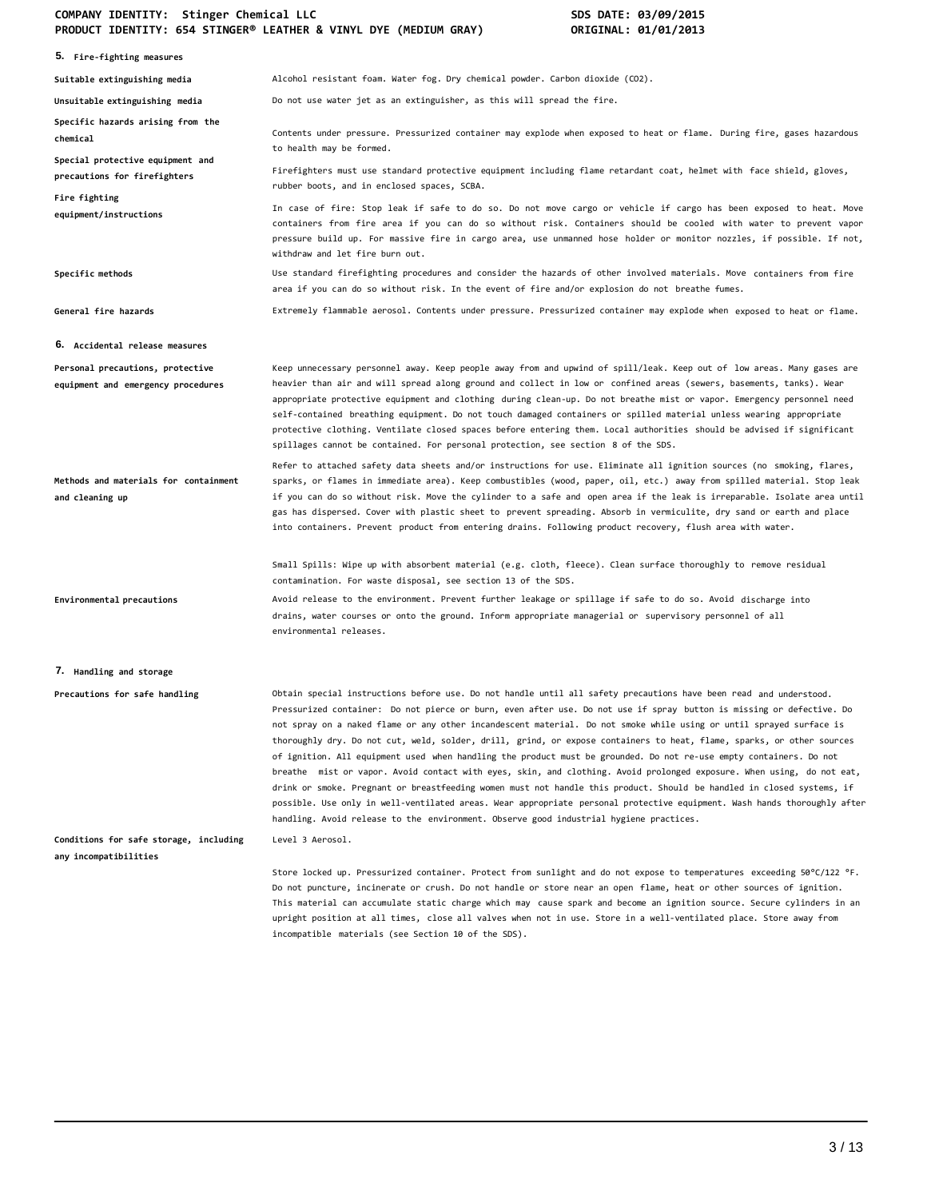|                                                                        | FRODOCT IDENTITI, OJ# JIINOER" EERTHER & VINTE DTE (MEDIOM ORAT)<br>VILLOLINAL, VI/VI/LOLJ                                                                                                                                                                                                                                                                                                                                                                                                                                                                                                                                                                                                                                                                                                                                                                                                                                                                                                                                                                                              |
|------------------------------------------------------------------------|-----------------------------------------------------------------------------------------------------------------------------------------------------------------------------------------------------------------------------------------------------------------------------------------------------------------------------------------------------------------------------------------------------------------------------------------------------------------------------------------------------------------------------------------------------------------------------------------------------------------------------------------------------------------------------------------------------------------------------------------------------------------------------------------------------------------------------------------------------------------------------------------------------------------------------------------------------------------------------------------------------------------------------------------------------------------------------------------|
| 5. Fire-fighting measures                                              |                                                                                                                                                                                                                                                                                                                                                                                                                                                                                                                                                                                                                                                                                                                                                                                                                                                                                                                                                                                                                                                                                         |
| Suitable extinguishing media                                           | Alcohol resistant foam. Water fog. Dry chemical powder. Carbon dioxide (CO2).                                                                                                                                                                                                                                                                                                                                                                                                                                                                                                                                                                                                                                                                                                                                                                                                                                                                                                                                                                                                           |
| Unsuitable extinguishing media                                         | Do not use water jet as an extinguisher, as this will spread the fire.                                                                                                                                                                                                                                                                                                                                                                                                                                                                                                                                                                                                                                                                                                                                                                                                                                                                                                                                                                                                                  |
| Specific hazards arising from the<br>chemical                          | Contents under pressure. Pressurized container may explode when exposed to heat or flame. During fire, gases hazardous<br>to health may be formed.                                                                                                                                                                                                                                                                                                                                                                                                                                                                                                                                                                                                                                                                                                                                                                                                                                                                                                                                      |
| Special protective equipment and<br>precautions for firefighters       | Firefighters must use standard protective equipment including flame retardant coat, helmet with face shield, gloves,<br>rubber boots, and in enclosed spaces, SCBA.                                                                                                                                                                                                                                                                                                                                                                                                                                                                                                                                                                                                                                                                                                                                                                                                                                                                                                                     |
| Fire fighting<br>equipment/instructions                                | In case of fire: Stop leak if safe to do so. Do not move cargo or vehicle if cargo has been exposed to heat. Move<br>containers from fire area if you can do so without risk. Containers should be cooled with water to prevent vapor<br>pressure build up. For massive fire in cargo area, use unmanned hose holder or monitor nozzles, if possible. If not,<br>withdraw and let fire burn out.                                                                                                                                                                                                                                                                                                                                                                                                                                                                                                                                                                                                                                                                                        |
| Specific methods                                                       | Use standard firefighting procedures and consider the hazards of other involved materials. Move containers from fire<br>area if you can do so without risk. In the event of fire and/or explosion do not breathe fumes.                                                                                                                                                                                                                                                                                                                                                                                                                                                                                                                                                                                                                                                                                                                                                                                                                                                                 |
| General fire hazards                                                   | Extremely flammable aerosol. Contents under pressure. Pressurized container may explode when exposed to heat or flame.                                                                                                                                                                                                                                                                                                                                                                                                                                                                                                                                                                                                                                                                                                                                                                                                                                                                                                                                                                  |
| 6. Accidental release measures                                         |                                                                                                                                                                                                                                                                                                                                                                                                                                                                                                                                                                                                                                                                                                                                                                                                                                                                                                                                                                                                                                                                                         |
| Personal precautions, protective<br>equipment and emergency procedures | Keep unnecessary personnel away. Keep people away from and upwind of spill/leak. Keep out of low areas. Many gases are<br>heavier than air and will spread along ground and collect in low or confined areas (sewers, basements, tanks). Wear<br>appropriate protective equipment and clothing during clean-up. Do not breathe mist or vapor. Emergency personnel need<br>self-contained breathing equipment. Do not touch damaged containers or spilled material unless wearing appropriate<br>protective clothing. Ventilate closed spaces before entering them. Local authorities should be advised if significant<br>spillages cannot be contained. For personal protection, see section 8 of the SDS.                                                                                                                                                                                                                                                                                                                                                                              |
| Methods and materials for containment<br>and cleaning up               | Refer to attached safety data sheets and/or instructions for use. Eliminate all ignition sources (no smoking, flares,<br>sparks, or flames in immediate area). Keep combustibles (wood, paper, oil, etc.) away from spilled material. Stop leak<br>if you can do so without risk. Move the cylinder to a safe and open area if the leak is irreparable. Isolate area until<br>gas has dispersed. Cover with plastic sheet to prevent spreading. Absorb in vermiculite, dry sand or earth and place<br>into containers. Prevent product from entering drains. Following product recovery, flush area with water.                                                                                                                                                                                                                                                                                                                                                                                                                                                                         |
|                                                                        | Small Spills: Wipe up with absorbent material (e.g. cloth, fleece). Clean surface thoroughly to remove residual<br>contamination. For waste disposal, see section 13 of the SDS.                                                                                                                                                                                                                                                                                                                                                                                                                                                                                                                                                                                                                                                                                                                                                                                                                                                                                                        |
| Environmental precautions                                              | Avoid release to the environment. Prevent further leakage or spillage if safe to do so. Avoid discharge into<br>drains, water courses or onto the ground. Inform appropriate managerial or supervisory personnel of all<br>environmental releases.                                                                                                                                                                                                                                                                                                                                                                                                                                                                                                                                                                                                                                                                                                                                                                                                                                      |
| 7. Handling and storage                                                |                                                                                                                                                                                                                                                                                                                                                                                                                                                                                                                                                                                                                                                                                                                                                                                                                                                                                                                                                                                                                                                                                         |
| Precautions for safe handling                                          | Obtain special instructions before use. Do not handle until all safety precautions have been read and understood.<br>Pressurized container: Do not pierce or burn, even after use. Do not use if sprav button is missing or defective. Do<br>not spray on a naked flame or any other incandescent material. Do not smoke while using or until sprayed surface is<br>thoroughly dry. Do not cut, weld, solder, drill, grind, or expose containers to heat, flame, sparks, or other sources<br>of ignition. All equipment used when handling the product must be grounded. Do not re-use empty containers. Do not<br>breathe mist or vapor. Avoid contact with eyes, skin, and clothing. Avoid prolonged exposure. When using, do not eat,<br>drink or smoke. Pregnant or breastfeeding women must not handle this product. Should be handled in closed systems, if<br>possible. Use only in well-ventilated areas. Wear appropriate personal protective equipment. Wash hands thoroughly after<br>handling. Avoid release to the environment. Observe good industrial hygiene practices. |
| Conditions for safe storage, including<br>any incompatibilities        | Level 3 Aerosol.                                                                                                                                                                                                                                                                                                                                                                                                                                                                                                                                                                                                                                                                                                                                                                                                                                                                                                                                                                                                                                                                        |
|                                                                        | Store locked up. Pressurized container. Protect from sunlight and do not expose to temperatures exceeding 50°C/122 °F.<br>Do not puncture, incinerate or crush. Do not handle or store near an open flame, heat or other sources of ignition.<br>This material can accumulate static charge which may cause spark and become an ignition source. Secure cylinders in an<br>upright position at all times, close all valves when not in use. Store in a well-ventilated place. Store away from<br>incompatible materials (see Section 10 of the SDS).                                                                                                                                                                                                                                                                                                                                                                                                                                                                                                                                    |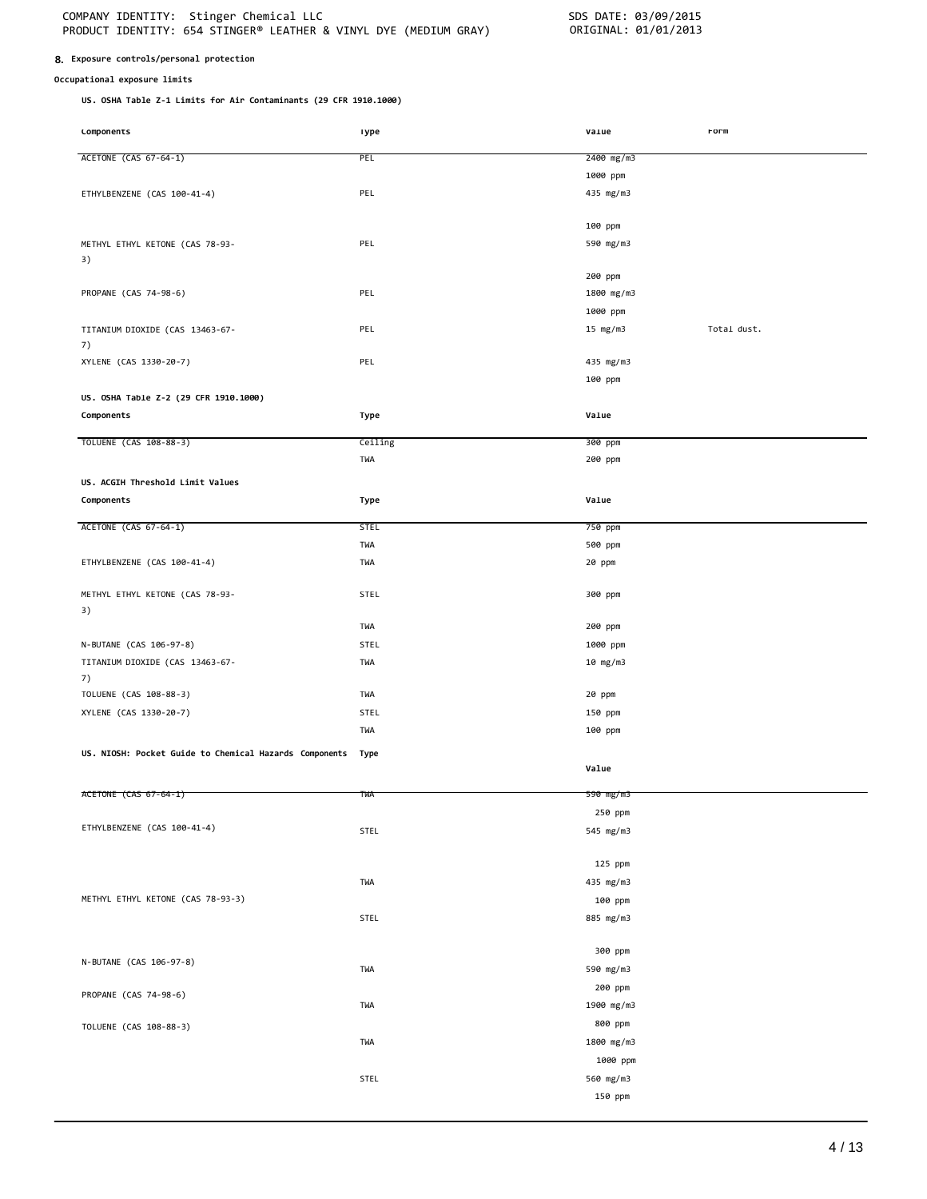#### **8. Exposure controls/personal protection**

### **Occupational exposure limits**

**US. OSHA Table Z-1 Limits for Air Contaminants (29 CFR 1910.1000)**

| Lomponents                                             | ı ype       | varue      | rorm        |
|--------------------------------------------------------|-------------|------------|-------------|
| ACETONE (CAS 67-64-1)                                  | PEL         | 2400 mg/m3 |             |
|                                                        |             |            |             |
|                                                        |             | 1000 ppm   |             |
| ETHYLBENZENE (CAS 100-41-4)                            | PEL         | 435 mg/m3  |             |
|                                                        |             |            |             |
|                                                        |             | 100 ppm    |             |
| METHYL ETHYL KETONE (CAS 78-93-                        | PEL         | 590 mg/m3  |             |
| 3)                                                     |             |            |             |
|                                                        |             | 200 ppm    |             |
| PROPANE (CAS 74-98-6)                                  | PEL         | 1800 mg/m3 |             |
|                                                        |             | 1000 ppm   |             |
| TITANIUM DIOXIDE (CAS 13463-67-                        | PEL         | 15 $mg/m3$ | Total dust. |
| 7)                                                     |             |            |             |
| XYLENE (CAS 1330-20-7)                                 | PEL         | 435 mg/m3  |             |
|                                                        |             | 100 ppm    |             |
| US. OSHA Table Z-2 (29 CFR 1910.1000)                  |             |            |             |
| Components                                             | Type        | Value      |             |
|                                                        |             |            |             |
| TOLUENE (CAS 108-88-3)                                 | Ceiling     | 300 ppm    |             |
|                                                        | TWA         | 200 ppm    |             |
|                                                        |             |            |             |
| US. ACGIH Threshold Limit Values                       |             |            |             |
| Components                                             | Type        | Value      |             |
| ACETONE (CAS 67-64-1)                                  | <b>STEL</b> | 750 ppm    |             |
|                                                        | TWA         | 500 ppm    |             |
| ETHYLBENZENE (CAS 100-41-4)                            | TWA         | 20 ppm     |             |
|                                                        |             |            |             |
| METHYL ETHYL KETONE (CAS 78-93-                        | <b>STEL</b> | 300 ppm    |             |
| 3)                                                     |             |            |             |
|                                                        | TWA         | 200 ppm    |             |
| N-BUTANE (CAS 106-97-8)                                | STEL        | 1000 ppm   |             |
|                                                        | TWA         |            |             |
| TITANIUM DIOXIDE (CAS 13463-67-                        |             | 10 mg/m3   |             |
| 7)                                                     | TWA         |            |             |
| TOLUENE (CAS 108-88-3)                                 |             | 20 ppm     |             |
| XYLENE (CAS 1330-20-7)                                 | STEL        | 150 ppm    |             |
|                                                        | TWA         | 100 ppm    |             |
| US. NIOSH: Pocket Guide to Chemical Hazards Components | Type        |            |             |
|                                                        |             | Value      |             |
|                                                        |             |            |             |
| ACETONE (CAS 67-64-1)                                  | TWA         | 590 mg/m3  |             |
|                                                        |             | 250 ppm    |             |
| ETHYLBENZENE (CAS 100-41-4)                            | STEL        | 545 mg/m3  |             |
|                                                        |             |            |             |
|                                                        |             | 125 ppm    |             |
|                                                        | TWA         | 435 mg/m3  |             |
| METHYL ETHYL KETONE (CAS 78-93-3)                      |             | 100 ppm    |             |
|                                                        | STEL        | 885 mg/m3  |             |
|                                                        |             |            |             |
|                                                        |             | 300 ppm    |             |
| N-BUTANE (CAS 106-97-8)                                | TWA         | 590 mg/m3  |             |
|                                                        |             | 200 ppm    |             |
| PROPANE (CAS 74-98-6)                                  |             |            |             |
|                                                        | <b>TWA</b>  | 1900 mg/m3 |             |
| TOLUENE (CAS 108-88-3)                                 |             | 800 ppm    |             |
|                                                        | TWA         | 1800 mg/m3 |             |
|                                                        |             | 1000 ppm   |             |
|                                                        | STEL        | 560 mg/m3  |             |
|                                                        |             | 150 ppm    |             |
|                                                        |             |            |             |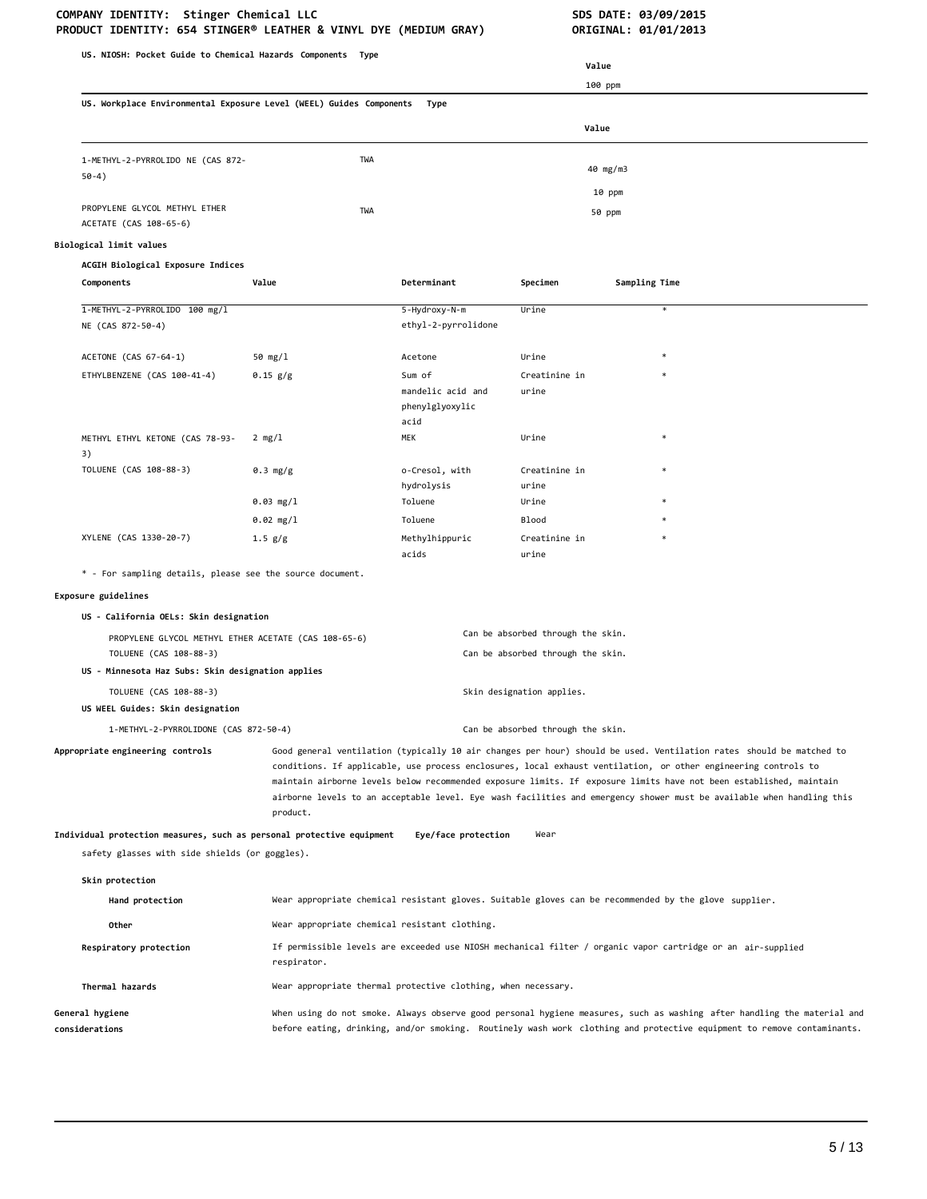| US. NIOSH: Pocket Guide to Chemical Hazards Components Type                    |                                               |                                                               |                                                                        |                                                                                                                                                                                                                                                                                                                                                                                                                                                                                      |
|--------------------------------------------------------------------------------|-----------------------------------------------|---------------------------------------------------------------|------------------------------------------------------------------------|--------------------------------------------------------------------------------------------------------------------------------------------------------------------------------------------------------------------------------------------------------------------------------------------------------------------------------------------------------------------------------------------------------------------------------------------------------------------------------------|
|                                                                                |                                               |                                                               |                                                                        | Value                                                                                                                                                                                                                                                                                                                                                                                                                                                                                |
| US. Workplace Environmental Exposure Level (WEEL) Guides Components            |                                               | Type                                                          |                                                                        | 100 ppm                                                                                                                                                                                                                                                                                                                                                                                                                                                                              |
|                                                                                |                                               |                                                               |                                                                        |                                                                                                                                                                                                                                                                                                                                                                                                                                                                                      |
|                                                                                |                                               |                                                               |                                                                        | Value                                                                                                                                                                                                                                                                                                                                                                                                                                                                                |
| 1-METHYL-2-PYRROLIDO NE (CAS 872-<br>$50-4)$                                   | TWA                                           |                                                               |                                                                        | 40 mg/m3                                                                                                                                                                                                                                                                                                                                                                                                                                                                             |
|                                                                                |                                               |                                                               |                                                                        | 10 ppm                                                                                                                                                                                                                                                                                                                                                                                                                                                                               |
| PROPYLENE GLYCOL METHYL ETHER<br>ACETATE (CAS 108-65-6)                        | TWA                                           |                                                               |                                                                        | 50 ppm                                                                                                                                                                                                                                                                                                                                                                                                                                                                               |
| Biological limit values                                                        |                                               |                                                               |                                                                        |                                                                                                                                                                                                                                                                                                                                                                                                                                                                                      |
| ACGIH Biological Exposure Indices<br>Components                                | Value                                         | Determinant                                                   | Specimen                                                               | Sampling Time                                                                                                                                                                                                                                                                                                                                                                                                                                                                        |
| 1-METHYL-2-PYRROLIDO 100 mg/l<br>NE (CAS 872-50-4)                             |                                               | 5-Hydroxy-N-m<br>ethyl-2-pyrrolidone                          | Urine                                                                  | *                                                                                                                                                                                                                                                                                                                                                                                                                                                                                    |
| ACETONE (CAS 67-64-1)                                                          | 50 mg/l                                       | Acetone                                                       | Urine                                                                  | $\ast$                                                                                                                                                                                                                                                                                                                                                                                                                                                                               |
| ETHYLBENZENE (CAS 100-41-4)                                                    | 0.15 g/g                                      | Sum of                                                        | Creatinine in                                                          |                                                                                                                                                                                                                                                                                                                                                                                                                                                                                      |
|                                                                                |                                               | mandelic acid and<br>phenylglyoxylic<br>acid                  | urine                                                                  |                                                                                                                                                                                                                                                                                                                                                                                                                                                                                      |
| METHYL ETHYL KETONE (CAS 78-93-                                                | 2 mg/l                                        | MEK                                                           | Urine                                                                  | $\ast$                                                                                                                                                                                                                                                                                                                                                                                                                                                                               |
| 3)<br>TOLUENE (CAS 108-88-3)                                                   | 0.3 mg/g                                      | o-Cresol, with                                                | Creatinine in                                                          | $\ast$                                                                                                                                                                                                                                                                                                                                                                                                                                                                               |
|                                                                                | $0.03$ mg/l                                   | hydrolysis<br>Toluene                                         | urine<br>Urine                                                         |                                                                                                                                                                                                                                                                                                                                                                                                                                                                                      |
|                                                                                | $0.02$ mg/l                                   | Toluene                                                       | <b>Blood</b>                                                           |                                                                                                                                                                                                                                                                                                                                                                                                                                                                                      |
| XYLENE (CAS 1330-20-7)                                                         | 1.5 g/g                                       | Methylhippuric<br>acids                                       | Creatinine in<br>urine                                                 |                                                                                                                                                                                                                                                                                                                                                                                                                                                                                      |
| * - For sampling details, please see the source document.                      |                                               |                                                               |                                                                        |                                                                                                                                                                                                                                                                                                                                                                                                                                                                                      |
| Exposure guidelines                                                            |                                               |                                                               |                                                                        |                                                                                                                                                                                                                                                                                                                                                                                                                                                                                      |
| US - California OELs: Skin designation                                         |                                               |                                                               |                                                                        |                                                                                                                                                                                                                                                                                                                                                                                                                                                                                      |
| PROPYLENE GLYCOL METHYL ETHER ACETATE (CAS 108-65-6)<br>TOLUENE (CAS 108-88-3) |                                               |                                                               | Can be absorbed through the skin.<br>Can be absorbed through the skin. |                                                                                                                                                                                                                                                                                                                                                                                                                                                                                      |
| US - Minnesota Haz Subs: Skin designation applies                              |                                               |                                                               |                                                                        |                                                                                                                                                                                                                                                                                                                                                                                                                                                                                      |
| TOLUENE (CAS 108-88-3)                                                         |                                               |                                                               | Skin designation applies.                                              |                                                                                                                                                                                                                                                                                                                                                                                                                                                                                      |
| US WEEL Guides: Skin designation                                               |                                               |                                                               |                                                                        |                                                                                                                                                                                                                                                                                                                                                                                                                                                                                      |
| 1-METHYL-2-PYRROLIDONE (CAS 872-50-4)                                          |                                               |                                                               | Can be absorbed through the skin.                                      |                                                                                                                                                                                                                                                                                                                                                                                                                                                                                      |
| Appropriate engineering controls                                               | product.                                      |                                                               |                                                                        | Good general ventilation (typically 10 air changes per hour) should be used. Ventilation rates should be matched to<br>conditions. If applicable, use process enclosures, local exhaust ventilation, or other engineering controls to<br>maintain airborne levels below recommended exposure limits. If exposure limits have not been established, maintain<br>airborne levels to an acceptable level. Eye wash facilities and emergency shower must be available when handling this |
| Individual protection measures, such as personal protective equipment          |                                               | Eye/face protection                                           | Wear                                                                   |                                                                                                                                                                                                                                                                                                                                                                                                                                                                                      |
| safety glasses with side shields (or goggles).                                 |                                               |                                                               |                                                                        |                                                                                                                                                                                                                                                                                                                                                                                                                                                                                      |
| Skin protection                                                                |                                               |                                                               |                                                                        |                                                                                                                                                                                                                                                                                                                                                                                                                                                                                      |
| Hand protection                                                                |                                               |                                                               |                                                                        | Wear appropriate chemical resistant gloves. Suitable gloves can be recommended by the glove supplier.                                                                                                                                                                                                                                                                                                                                                                                |
| Other                                                                          | Wear appropriate chemical resistant clothing. |                                                               |                                                                        |                                                                                                                                                                                                                                                                                                                                                                                                                                                                                      |
| Respiratory protection                                                         | respirator.                                   |                                                               |                                                                        | If permissible levels are exceeded use NIOSH mechanical filter / organic vapor cartridge or an air-supplied                                                                                                                                                                                                                                                                                                                                                                          |
| Thermal hazards                                                                |                                               | Wear appropriate thermal protective clothing, when necessary. |                                                                        |                                                                                                                                                                                                                                                                                                                                                                                                                                                                                      |
| General hygiene<br>considerations                                              |                                               |                                                               |                                                                        | When using do not smoke. Always observe good personal hygiene measures, such as washing after handling the material and<br>before eating, drinking, and/or smoking. Routinely wash work clothing and protective equipment to remove contaminants.                                                                                                                                                                                                                                    |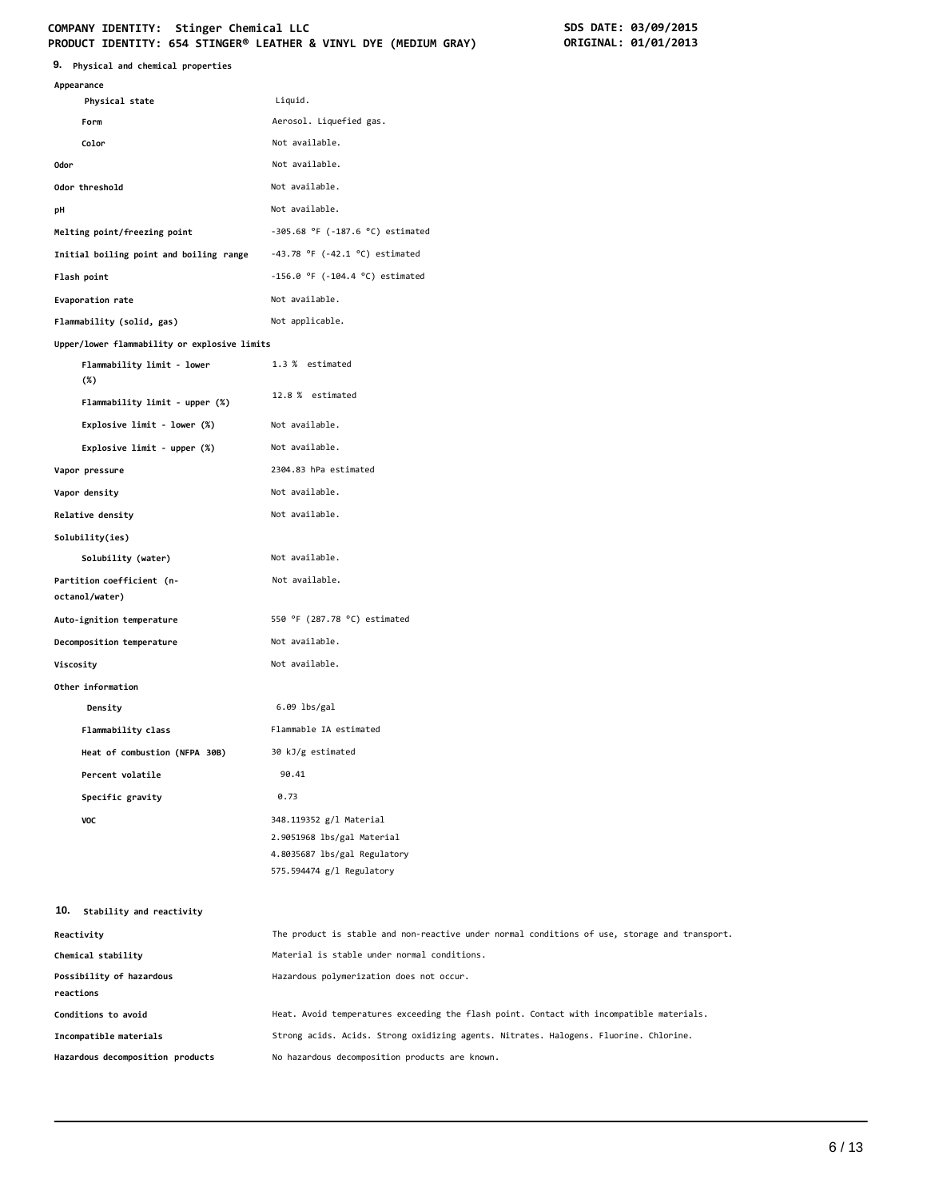# COMPANY IDENTITY: Stinger Chemical LLC<br>
PRODUCT IDENTITY: 654 STINGER® LEATHER & VINYL DYE (MEDIUM GRAY) **SDS DATE: 01/01/2013 PRODUCT IDENTITY: 654 STINGER® LEATHER & VINYL DYE (MEDIUM GRAY)**

| 9.<br>Physical and chemical properties       |                                                                                               |
|----------------------------------------------|-----------------------------------------------------------------------------------------------|
| Appearance                                   |                                                                                               |
| Physical state                               | Liquid.                                                                                       |
| Form                                         | Aerosol. Liquefied gas.                                                                       |
| Color                                        | Not available.                                                                                |
| 0dor                                         | Not available.                                                                                |
| Odor threshold                               | Not available.                                                                                |
| рH                                           | Not available.                                                                                |
| Melting point/freezing point                 | $-305.68$ °F ( $-187.6$ °C) estimated                                                         |
| Initial boiling point and boiling range      | $-43.78$ °F ( $-42.1$ °C) estimated                                                           |
| Flash point                                  | $-156.0$ °F ( $-104.4$ °C) estimated                                                          |
| Evaporation rate                             | Not available.                                                                                |
| Flammability (solid, gas)                    | Not applicable.                                                                               |
| Upper/lower flammability or explosive limits |                                                                                               |
| Flammability limit - lower<br>(%)            | 1.3 % estimated                                                                               |
| Flammability limit - upper (%)               | 12.8 % estimated                                                                              |
| Explosive limit - lower (%)                  | Not available.                                                                                |
| Explosive limit - upper (%)                  | Not available.                                                                                |
| Vapor pressure                               | 2304.83 hPa estimated                                                                         |
| Vapor density                                | Not available.                                                                                |
| Relative density                             | Not available.                                                                                |
| Solubility(ies)                              |                                                                                               |
| Solubility (water)                           | Not available.                                                                                |
| Partition coefficient (n-<br>octanol/water)  | Not available.                                                                                |
| Auto-ignition temperature                    | 550 °F (287.78 °C) estimated                                                                  |
| Decomposition temperature                    | Not available.                                                                                |
| Viscosity                                    | Not available.                                                                                |
| Other information                            |                                                                                               |
| Density                                      | 6.09 lbs/gal                                                                                  |
| Flammability class                           | Flammable IA estimated                                                                        |
| Heat of combustion (NFPA 30B)                | 30 kJ/g estimated                                                                             |
| Percent volatile                             | 90.41                                                                                         |
| Specific gravity                             | 0.73                                                                                          |
| VOC                                          | 348.119352 g/l Material                                                                       |
|                                              | 2.9051968 lbs/gal Material                                                                    |
|                                              | 4.8035687 lbs/gal Regulatory                                                                  |
|                                              | 575.594474 g/l Regulatory                                                                     |
| 10.<br>Stability and reactivity              |                                                                                               |
| Reactivity                                   | The product is stable and non-reactive under normal conditions of use, storage and transport. |
| Chemical stability                           | Material is stable under normal conditions.                                                   |
| Possibility of hazardous                     | Hazardous polymerization does not occur.                                                      |
| reactions                                    |                                                                                               |
| Conditions to avoid                          | Heat. Avoid temperatures exceeding the flash point. Contact with incompatible materials.      |
| Incompatible materials                       | Strong acids. Acids. Strong oxidizing agents. Nitrates. Halogens. Fluorine. Chlorine.         |
| Hazardous decomposition products             | No hazardous decomposition products are known.                                                |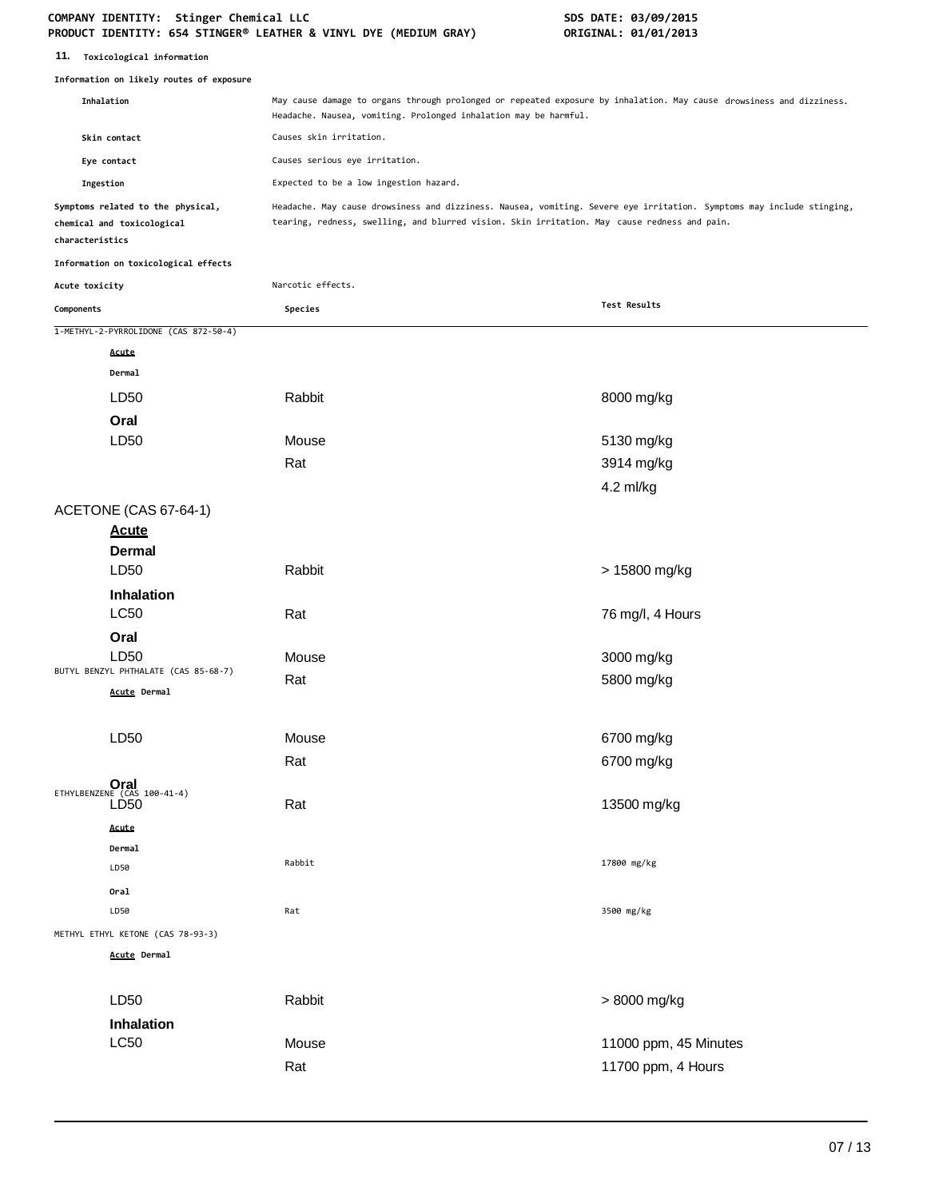| 11. | Toxicological information |  |
|-----|---------------------------|--|
|-----|---------------------------|--|

|                 | Information on likely routes of exposure                        |                                                                                                                                                                                                                       |                       |
|-----------------|-----------------------------------------------------------------|-----------------------------------------------------------------------------------------------------------------------------------------------------------------------------------------------------------------------|-----------------------|
|                 | Inhalation                                                      | May cause damage to organs through prolonged or repeated exposure by inhalation. May cause drowsiness and dizziness.<br>Headache. Nausea, vomiting. Prolonged inhalation may be harmful.                              |                       |
|                 | Skin contact                                                    | Causes skin irritation.                                                                                                                                                                                               |                       |
|                 | Eye contact                                                     | Causes serious eye irritation.                                                                                                                                                                                        |                       |
| Ingestion       |                                                                 | Expected to be a low ingestion hazard.                                                                                                                                                                                |                       |
| characteristics | Symptoms related to the physical,<br>chemical and toxicological | Headache. May cause drowsiness and dizziness. Nausea, vomiting. Severe eye irritation. Symptoms may include stinging,<br>tearing, redness, swelling, and blurred vision. Skin irritation. May cause redness and pain. |                       |
|                 | Information on toxicological effects                            |                                                                                                                                                                                                                       |                       |
| Acute toxicity  |                                                                 | Narcotic effects.                                                                                                                                                                                                     |                       |
| Components      |                                                                 | Species                                                                                                                                                                                                               | Test Results          |
|                 | 1-METHYL-2-PYRROLIDONE (CAS 872-50-4)                           |                                                                                                                                                                                                                       |                       |
|                 | Acute                                                           |                                                                                                                                                                                                                       |                       |
|                 | Dermal                                                          |                                                                                                                                                                                                                       |                       |
|                 | LD50                                                            | Rabbit                                                                                                                                                                                                                | 8000 mg/kg            |
|                 | Oral                                                            |                                                                                                                                                                                                                       |                       |
|                 | LD50                                                            | Mouse                                                                                                                                                                                                                 | 5130 mg/kg            |
|                 |                                                                 | Rat                                                                                                                                                                                                                   | 3914 mg/kg            |
|                 |                                                                 |                                                                                                                                                                                                                       | 4.2 ml/kg             |
|                 | ACETONE (CAS 67-64-1)                                           |                                                                                                                                                                                                                       |                       |
|                 | <b>Acute</b>                                                    |                                                                                                                                                                                                                       |                       |
|                 | <b>Dermal</b>                                                   |                                                                                                                                                                                                                       |                       |
|                 | LD50                                                            | Rabbit                                                                                                                                                                                                                | > 15800 mg/kg         |
|                 | <b>Inhalation</b><br><b>LC50</b>                                | Rat                                                                                                                                                                                                                   | 76 mg/l, 4 Hours      |
|                 | Oral                                                            |                                                                                                                                                                                                                       |                       |
|                 | LD50                                                            | Mouse                                                                                                                                                                                                                 | 3000 mg/kg            |
|                 | BUTYL BENZYL PHTHALATE (CAS 85-68-7)                            | Rat                                                                                                                                                                                                                   | 5800 mg/kg            |
|                 | Acute Dermal                                                    |                                                                                                                                                                                                                       |                       |
|                 | LD50                                                            | Mouse                                                                                                                                                                                                                 | 6700 mg/kg            |
|                 |                                                                 | Rat                                                                                                                                                                                                                   | 6700 mg/kg            |
|                 |                                                                 |                                                                                                                                                                                                                       |                       |
|                 | ETHYLBENZENE (CAS 100-41-4)<br>LD <sub>50</sub>                 | Rat                                                                                                                                                                                                                   | 13500 mg/kg           |
|                 | Acute                                                           |                                                                                                                                                                                                                       |                       |
|                 | Dermal                                                          | Rabbit                                                                                                                                                                                                                | 17800 mg/kg           |
|                 | LD50                                                            |                                                                                                                                                                                                                       |                       |
|                 | Oral<br>LD50                                                    | Rat                                                                                                                                                                                                                   | 3500 mg/kg            |
|                 | METHYL ETHYL KETONE (CAS 78-93-3)                               |                                                                                                                                                                                                                       |                       |
|                 | Acute Dermal                                                    |                                                                                                                                                                                                                       |                       |
|                 |                                                                 |                                                                                                                                                                                                                       |                       |
|                 | LD50                                                            | Rabbit                                                                                                                                                                                                                | > 8000 mg/kg          |
|                 | Inhalation                                                      |                                                                                                                                                                                                                       |                       |
|                 | L <sub>C</sub> 50                                               | Mouse                                                                                                                                                                                                                 | 11000 ppm, 45 Minutes |
|                 |                                                                 | Rat                                                                                                                                                                                                                   | 11700 ppm, 4 Hours    |
|                 |                                                                 |                                                                                                                                                                                                                       |                       |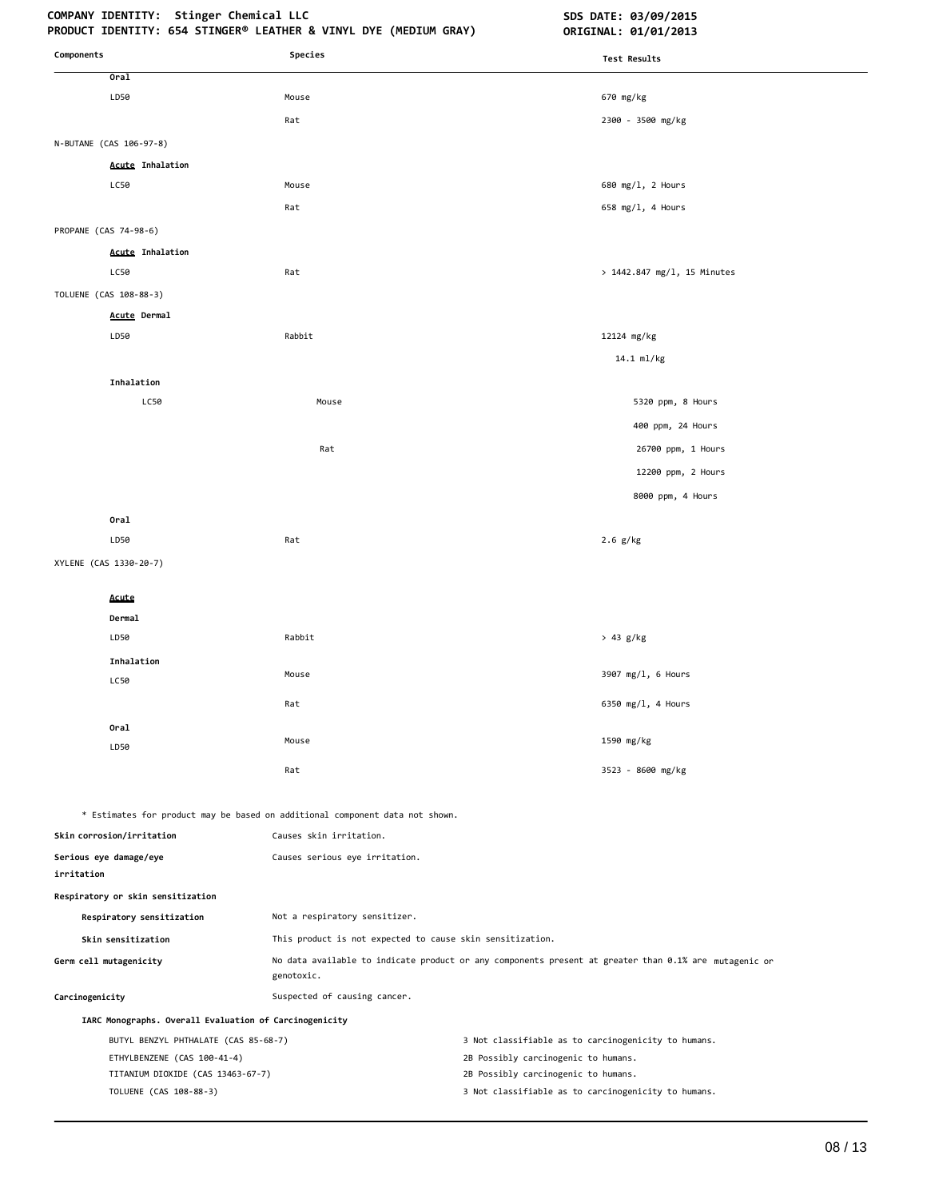# COMPANY IDENTITY: Stinger Chemical LLC **SDS DATE: 03/09/2015**

| Components                                             | Species                                                                      | Test Results                                                                                          |
|--------------------------------------------------------|------------------------------------------------------------------------------|-------------------------------------------------------------------------------------------------------|
| Oral                                                   |                                                                              |                                                                                                       |
| LD50                                                   | Mouse                                                                        | 670 mg/kg                                                                                             |
|                                                        | Rat                                                                          | 2300 - 3500 mg/kg                                                                                     |
| N-BUTANE (CAS 106-97-8)                                |                                                                              |                                                                                                       |
| <b>Acute Inhalation</b>                                |                                                                              |                                                                                                       |
| LC50                                                   | Mouse                                                                        | 680 mg/1, 2 Hours                                                                                     |
|                                                        | Rat                                                                          | 658 mg/l, 4 Hours                                                                                     |
| PROPANE (CAS 74-98-6)                                  |                                                                              |                                                                                                       |
| <b>Acute Inhalation</b>                                |                                                                              |                                                                                                       |
| LC50                                                   | Rat                                                                          | > 1442.847 mg/l, 15 Minutes                                                                           |
| TOLUENE (CAS 108-88-3)                                 |                                                                              |                                                                                                       |
| Acute Dermal                                           |                                                                              |                                                                                                       |
| LD50                                                   | Rabbit                                                                       | 12124 mg/kg                                                                                           |
|                                                        |                                                                              | 14.1 ml/kg                                                                                            |
| Inhalation                                             |                                                                              |                                                                                                       |
| LC50                                                   | Mouse                                                                        | 5320 ppm, 8 Hours                                                                                     |
|                                                        |                                                                              | 400 ppm, 24 Hours                                                                                     |
|                                                        | Rat                                                                          | 26700 ppm, 1 Hours                                                                                    |
|                                                        |                                                                              | 12200 ppm, 2 Hours                                                                                    |
|                                                        |                                                                              | 8000 ppm, 4 Hours                                                                                     |
|                                                        |                                                                              |                                                                                                       |
| Oral<br>LD50                                           | Rat                                                                          |                                                                                                       |
|                                                        |                                                                              | $2.6$ g/kg                                                                                            |
| XYLENE (CAS 1330-20-7)                                 |                                                                              |                                                                                                       |
| Acute                                                  |                                                                              |                                                                                                       |
| Dermal                                                 |                                                                              |                                                                                                       |
| LD50                                                   | Rabbit                                                                       | > 43 g/kg                                                                                             |
| Inhalation                                             |                                                                              |                                                                                                       |
| LC50                                                   | Mouse                                                                        | 3907 mg/l, 6 Hours                                                                                    |
|                                                        | Rat                                                                          | 6350 mg/l, 4 Hours                                                                                    |
| Oral                                                   |                                                                              |                                                                                                       |
| LD50                                                   | Mouse                                                                        | 1590 mg/kg                                                                                            |
|                                                        | Rat                                                                          | 3523 - 8600 mg/kg                                                                                     |
|                                                        |                                                                              |                                                                                                       |
|                                                        | * Estimates for product may be based on additional component data not shown. |                                                                                                       |
| Skin corrosion/irritation                              | Causes skin irritation.                                                      |                                                                                                       |
| Serious eye damage/eye<br>irritation                   | Causes serious eye irritation.                                               |                                                                                                       |
| Respiratory or skin sensitization                      |                                                                              |                                                                                                       |
| Respiratory sensitization                              | Not a respiratory sensitizer.                                                |                                                                                                       |
| Skin sensitization                                     | This product is not expected to cause skin sensitization.                    |                                                                                                       |
| Germ cell mutagenicity                                 | genotoxic.                                                                   | No data available to indicate product or any components present at greater than 0.1% are mutagenic or |
| Carcinogenicity                                        | Suspected of causing cancer.                                                 |                                                                                                       |
| IARC Monographs. Overall Evaluation of Carcinogenicity |                                                                              |                                                                                                       |
| BUTYL BENZYL PHTHALATE (CAS 85-68-7)                   |                                                                              | 3 Not classifiable as to carcinogenicity to humans.                                                   |
| ETHYLBENZENE (CAS 100-41-4)                            |                                                                              | 2B Possibly carcinogenic to humans.                                                                   |
| TITANIUM DIOXIDE (CAS 13463-67-7)                      |                                                                              | 2B Possibly carcinogenic to humans.                                                                   |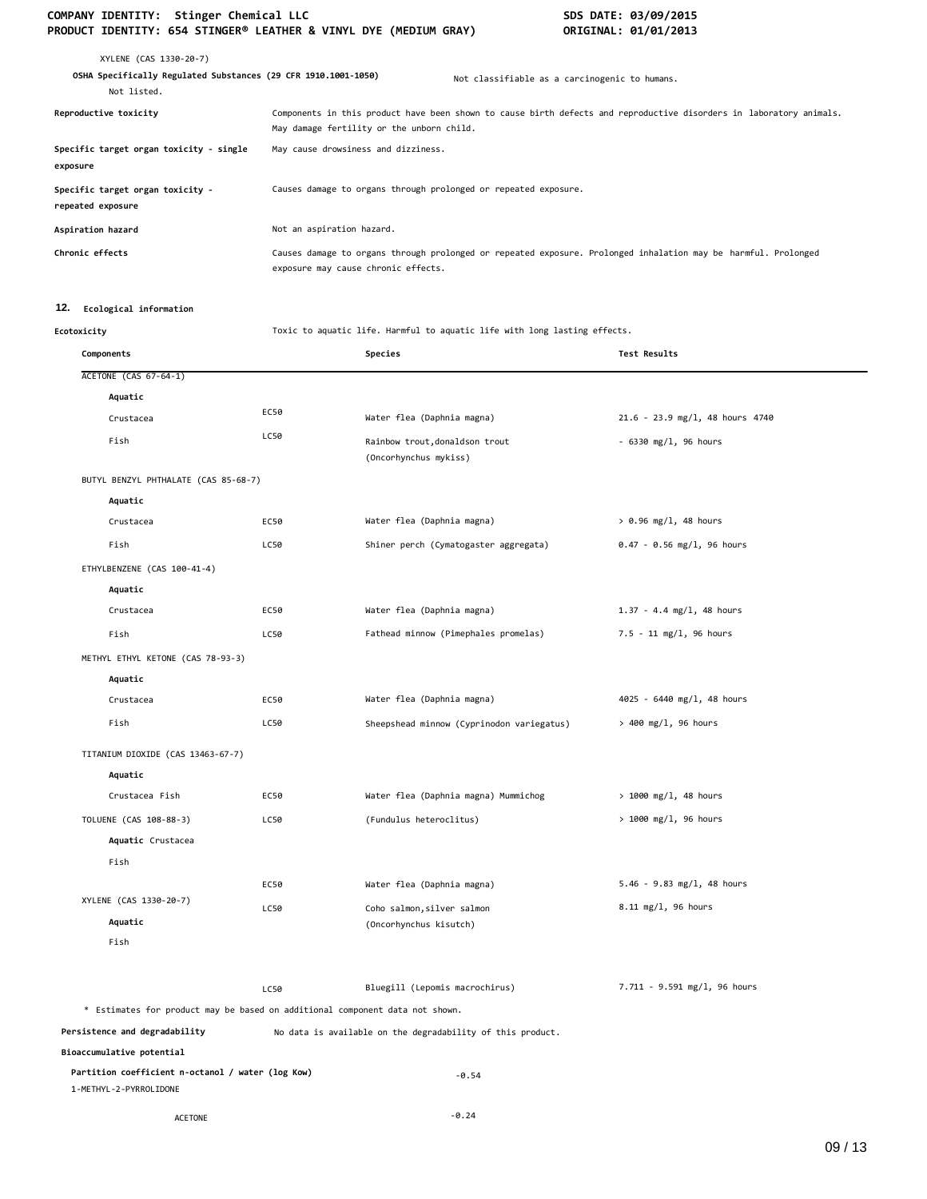| XYLENE (CAS 1330-20-7)<br>OSHA Specifically Regulated Substances (29 CFR 1910.1001-1050)<br>Not listed. | Not classifiable as a carcinogenic to humans.                                                                                                                    |
|---------------------------------------------------------------------------------------------------------|------------------------------------------------------------------------------------------------------------------------------------------------------------------|
| Reproductive toxicity                                                                                   | Components in this product have been shown to cause birth defects and reproductive disorders in laboratory animals.<br>May damage fertility or the unborn child. |
| Specific target organ toxicity - single<br>exposure                                                     | May cause drowsiness and dizziness.                                                                                                                              |
| Specific target organ toxicity -<br>repeated exposure                                                   | Causes damage to organs through prolonged or repeated exposure.                                                                                                  |
| Aspiration hazard                                                                                       | Not an aspiration hazard.                                                                                                                                        |
| Chronic effects                                                                                         | Causes damage to organs through prolonged or repeated exposure. Prolonged inhalation may be harmful. Prolonged<br>exposure may cause chronic effects.            |

# **12. Ecological information**

**Ecotoxicity** Toxic to aquatic life. Harmful to aquatic life with long lasting effects.

| Components                                                                   |      | Species                                                    | <b>Test Results</b>             |
|------------------------------------------------------------------------------|------|------------------------------------------------------------|---------------------------------|
| <b>ACETONE (CAS 67-64-1)</b>                                                 |      |                                                            |                                 |
| Aquatic                                                                      |      |                                                            |                                 |
| Crustacea                                                                    | EC50 | Water flea (Daphnia magna)                                 | 21.6 - 23.9 mg/l, 48 hours 4740 |
| Fish                                                                         | LC50 | Rainbow trout, donaldson trout<br>(Oncorhynchus mykiss)    | $-6330$ mg/l, 96 hours          |
| BUTYL BENZYL PHTHALATE (CAS 85-68-7)                                         |      |                                                            |                                 |
| Aquatic                                                                      |      |                                                            |                                 |
| Crustacea                                                                    | EC50 | Water flea (Daphnia magna)                                 | $> 0.96$ mg/l, 48 hours         |
| Fish                                                                         | LC50 | Shiner perch (Cymatogaster aggregata)                      | $0.47 - 0.56$ mg/l, 96 hours    |
| ETHYLBENZENE (CAS 100-41-4)                                                  |      |                                                            |                                 |
| Aquatic                                                                      |      |                                                            |                                 |
| Crustacea                                                                    | EC50 | Water flea (Daphnia magna)                                 | $1.37 - 4.4$ mg/l, 48 hours     |
| Fish                                                                         | LC50 | Fathead minnow (Pimephales promelas)                       | 7.5 - 11 mg/l, 96 hours         |
| METHYL ETHYL KETONE (CAS 78-93-3)                                            |      |                                                            |                                 |
| Aquatic                                                                      |      |                                                            |                                 |
| Crustacea                                                                    | EC50 | Water flea (Daphnia magna)                                 | 4025 - 6440 mg/l, 48 hours      |
| Fish                                                                         | LC50 | Sheepshead minnow (Cyprinodon variegatus)                  | $> 400$ mg/l, 96 hours          |
| TITANIUM DIOXIDE (CAS 13463-67-7)                                            |      |                                                            |                                 |
| Aquatic                                                                      |      |                                                            |                                 |
| Crustacea Fish                                                               | EC50 | Water flea (Daphnia magna) Mummichog                       | $> 1000$ mg/l, 48 hours         |
| TOLUENE (CAS 108-88-3)                                                       | LC50 | (Fundulus heteroclitus)                                    | $> 1000$ mg/l, 96 hours         |
| Aquatic Crustacea                                                            |      |                                                            |                                 |
| Fish                                                                         |      |                                                            |                                 |
|                                                                              | EC50 | Water flea (Daphnia magna)                                 | $5.46 - 9.83$ mg/l, 48 hours    |
| XYLENE (CAS 1330-20-7)                                                       | LC50 | Coho salmon, silver salmon                                 | 8.11 mg/l, 96 hours             |
| Aquatic                                                                      |      | (Oncorhynchus kisutch)                                     |                                 |
| Fish                                                                         |      |                                                            |                                 |
|                                                                              | LC50 | Bluegill (Lepomis macrochirus)                             | 7.711 - 9.591 mg/l, 96 hours    |
| * Estimates for product may be based on additional component data not shown. |      |                                                            |                                 |
| Persistence and degradability                                                |      | No data is available on the degradability of this product. |                                 |
| Bioaccumulative potential                                                    |      |                                                            |                                 |
| Partition coefficient n-octanol / water (log Kow)<br>1-METHYL-2-PYRROLIDONE  |      | $-0.54$                                                    |                                 |
| <b>ACETONE</b>                                                               |      | $-0.24$                                                    |                                 |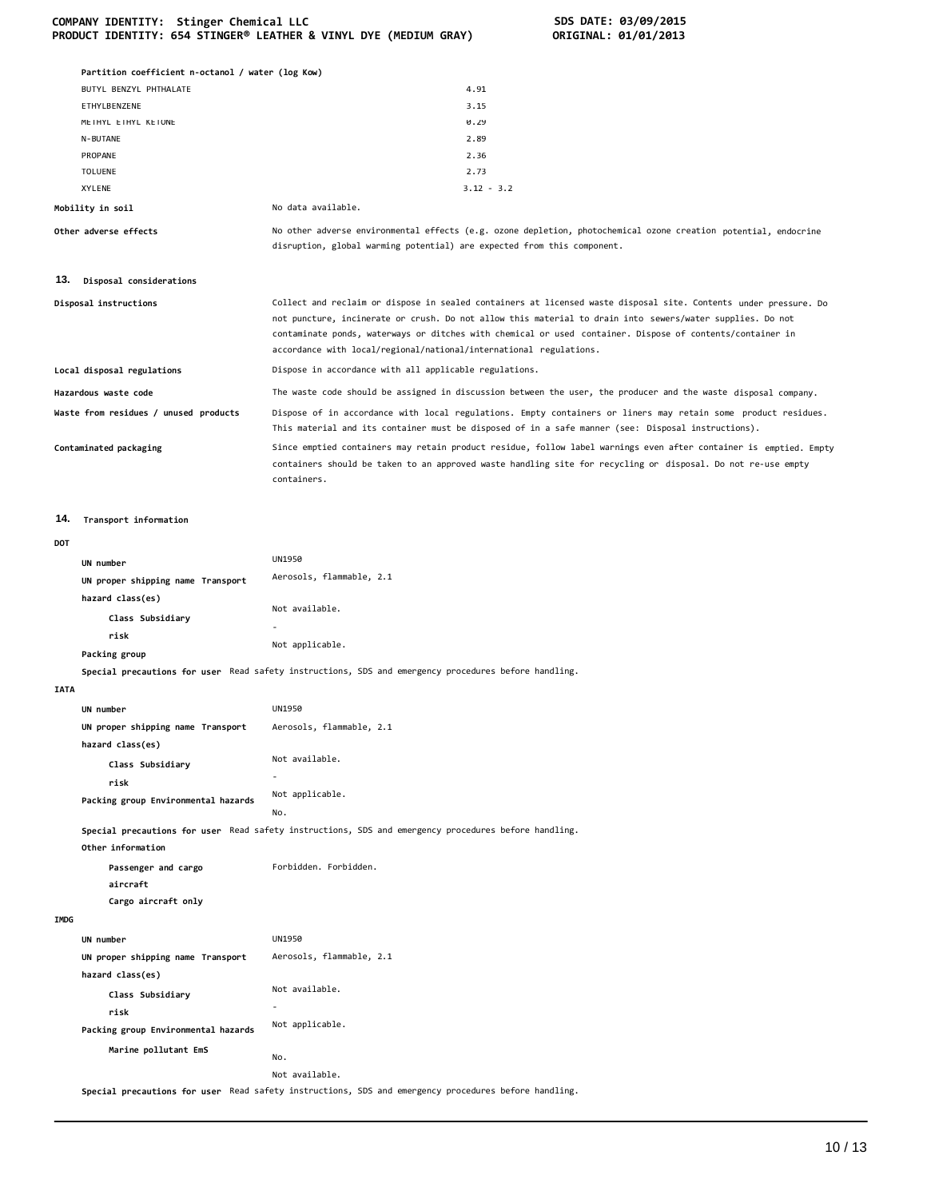|  | COMPANY IDENTITY: Stinger Chemical LLC                           |  |  |  |
|--|------------------------------------------------------------------|--|--|--|
|  | PRODUCT IDENTITY: 654 STINGER® LEATHER & VINYL DYE (MEDIUM GRAY) |  |  |  |

|                        | Partition coefficient n-octanol / water (log Kow) |                                                                                                                                                                                                                                                                                                                                                                                                                  |  |  |  |
|------------------------|---------------------------------------------------|------------------------------------------------------------------------------------------------------------------------------------------------------------------------------------------------------------------------------------------------------------------------------------------------------------------------------------------------------------------------------------------------------------------|--|--|--|
|                        | BUTYL BENZYL PHTHALATE                            | 4.91                                                                                                                                                                                                                                                                                                                                                                                                             |  |  |  |
|                        | ETHYLBENZENE                                      | 3.15                                                                                                                                                                                                                                                                                                                                                                                                             |  |  |  |
|                        | METHYL ETHYL KETONE                               | 0.29                                                                                                                                                                                                                                                                                                                                                                                                             |  |  |  |
|                        | N-BUTANE                                          | 2.89                                                                                                                                                                                                                                                                                                                                                                                                             |  |  |  |
|                        | PROPANE                                           | 2.36                                                                                                                                                                                                                                                                                                                                                                                                             |  |  |  |
|                        | <b>TOLUENE</b>                                    | 2.73                                                                                                                                                                                                                                                                                                                                                                                                             |  |  |  |
|                        | XYLENE                                            | $3.12 - 3.2$                                                                                                                                                                                                                                                                                                                                                                                                     |  |  |  |
|                        | Mobility in soil                                  | No data available.                                                                                                                                                                                                                                                                                                                                                                                               |  |  |  |
|                        | Other adverse effects                             | No other adverse environmental effects (e.g. ozone depletion, photochemical ozone creation potential, endocrine<br>disruption, global warming potential) are expected from this component.                                                                                                                                                                                                                       |  |  |  |
| 13.                    | Disposal considerations                           |                                                                                                                                                                                                                                                                                                                                                                                                                  |  |  |  |
|                        | Disposal instructions                             | Collect and reclaim or dispose in sealed containers at licensed waste disposal site. Contents under pressure. Do<br>not puncture, incinerate or crush. Do not allow this material to drain into sewers/water supplies. Do not<br>contaminate ponds, waterways or ditches with chemical or used container. Dispose of contents/container in<br>accordance with local/regional/national/international regulations. |  |  |  |
|                        | Local disposal regulations                        | Dispose in accordance with all applicable regulations.                                                                                                                                                                                                                                                                                                                                                           |  |  |  |
|                        | Hazardous waste code                              | The waste code should be assigned in discussion between the user, the producer and the waste disposal company.                                                                                                                                                                                                                                                                                                   |  |  |  |
|                        | Waste from residues / unused products             | Dispose of in accordance with local regulations. Empty containers or liners may retain some product residues.<br>This material and its container must be disposed of in a safe manner (see: Disposal instructions).                                                                                                                                                                                              |  |  |  |
| Contaminated packaging |                                                   | Since emptied containers may retain product residue, follow label warnings even after container is emptied. Empty<br>containers should be taken to an approved waste handling site for recycling or disposal. Do not re-use empty<br>containers.                                                                                                                                                                 |  |  |  |
| 14.                    | Transport information                             |                                                                                                                                                                                                                                                                                                                                                                                                                  |  |  |  |
| DOT                    |                                                   |                                                                                                                                                                                                                                                                                                                                                                                                                  |  |  |  |
|                        | UN number                                         | <b>UN1950</b>                                                                                                                                                                                                                                                                                                                                                                                                    |  |  |  |
|                        | UN proper shipping name Transport                 | Aerosols, flammable, 2.1                                                                                                                                                                                                                                                                                                                                                                                         |  |  |  |
|                        | hazard class(es)                                  |                                                                                                                                                                                                                                                                                                                                                                                                                  |  |  |  |
|                        |                                                   | Not available.                                                                                                                                                                                                                                                                                                                                                                                                   |  |  |  |
|                        | Class Subsidiary                                  |                                                                                                                                                                                                                                                                                                                                                                                                                  |  |  |  |
|                        | risk                                              | Not applicable.                                                                                                                                                                                                                                                                                                                                                                                                  |  |  |  |
|                        | Packing group                                     |                                                                                                                                                                                                                                                                                                                                                                                                                  |  |  |  |
|                        |                                                   | Special precautions for user Read safety instructions, SDS and emergency procedures before handling.                                                                                                                                                                                                                                                                                                             |  |  |  |
| <b>IATA</b>            |                                                   |                                                                                                                                                                                                                                                                                                                                                                                                                  |  |  |  |
|                        | UN number                                         | UN1950                                                                                                                                                                                                                                                                                                                                                                                                           |  |  |  |
|                        | UN proper shipping name Transport                 | Aerosols, flammable, 2.1                                                                                                                                                                                                                                                                                                                                                                                         |  |  |  |
|                        | hazard class(es)                                  |                                                                                                                                                                                                                                                                                                                                                                                                                  |  |  |  |
|                        | Class Subsidiary                                  | Not available.                                                                                                                                                                                                                                                                                                                                                                                                   |  |  |  |
|                        | risk                                              |                                                                                                                                                                                                                                                                                                                                                                                                                  |  |  |  |
|                        | Packing group Environmental hazards               | Not applicable.                                                                                                                                                                                                                                                                                                                                                                                                  |  |  |  |
|                        |                                                   | No.                                                                                                                                                                                                                                                                                                                                                                                                              |  |  |  |
|                        | Other information                                 | Special precautions for user Read safety instructions, SDS and emergency procedures before handling.                                                                                                                                                                                                                                                                                                             |  |  |  |
|                        | Passenger and cargo<br>aircraft                   | Forbidden. Forbidden.                                                                                                                                                                                                                                                                                                                                                                                            |  |  |  |
|                        | Cargo aircraft only                               |                                                                                                                                                                                                                                                                                                                                                                                                                  |  |  |  |
| IMDG                   |                                                   |                                                                                                                                                                                                                                                                                                                                                                                                                  |  |  |  |
|                        | UN number                                         | <b>UN1950</b>                                                                                                                                                                                                                                                                                                                                                                                                    |  |  |  |
|                        | UN proper shipping name Transport                 | Aerosols, flammable, 2.1                                                                                                                                                                                                                                                                                                                                                                                         |  |  |  |
|                        | hazard class(es)                                  |                                                                                                                                                                                                                                                                                                                                                                                                                  |  |  |  |
|                        |                                                   | Not available.                                                                                                                                                                                                                                                                                                                                                                                                   |  |  |  |
|                        | Class Subsidiary                                  |                                                                                                                                                                                                                                                                                                                                                                                                                  |  |  |  |
|                        | risk                                              | Not applicable.                                                                                                                                                                                                                                                                                                                                                                                                  |  |  |  |
|                        | Packing group Environmental hazards               |                                                                                                                                                                                                                                                                                                                                                                                                                  |  |  |  |

Not available. **Special precautions for user** Read safety instructions, SDS and emergency procedures before handling.

No.

**Marine pollutant EmS**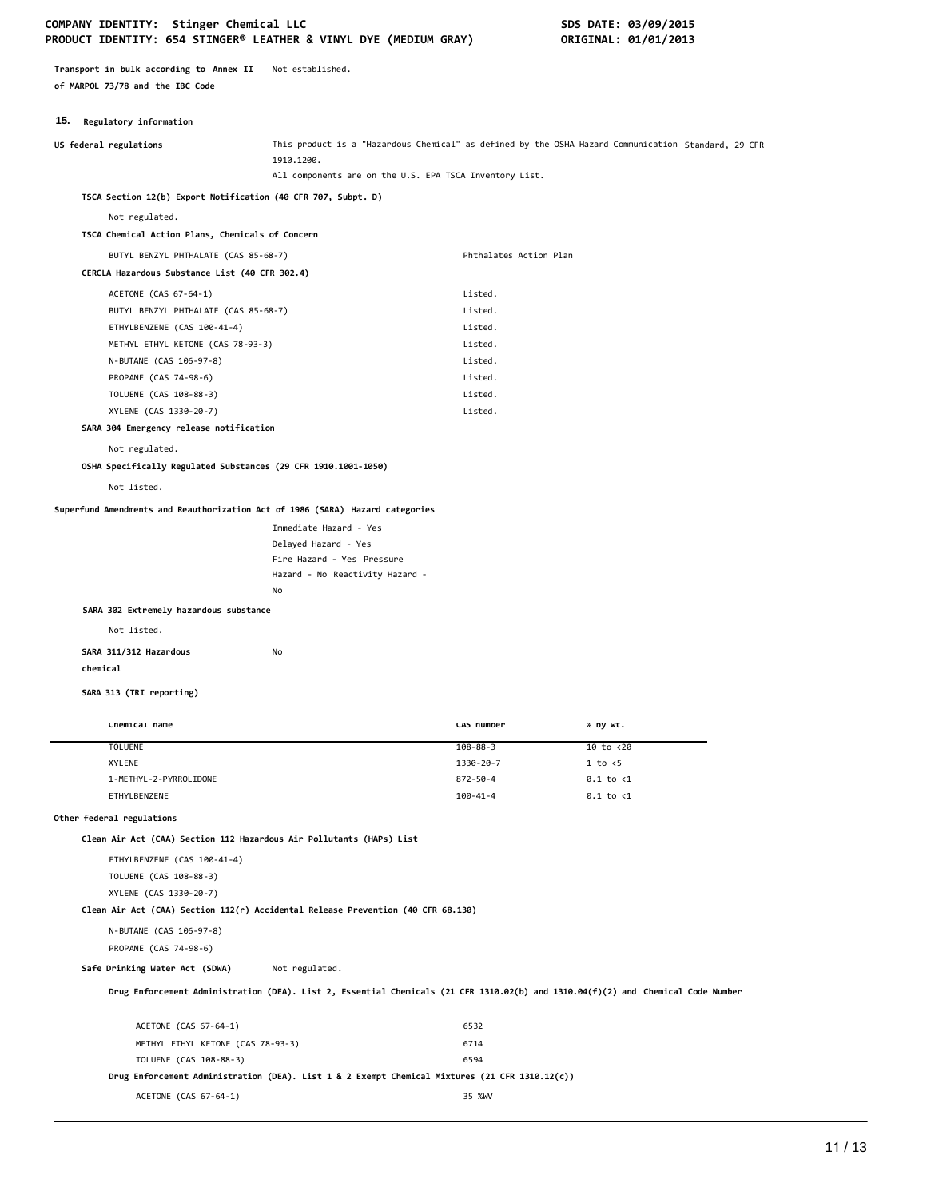**Transport in bulk according to Annex II** Not established. **of MARPOL 73/78 and the IBC Code**

# **15. Regulatory information**

| <b>19. Kegulatory Information</b>                                                |                                                                                                                                  |                        |                                                                                                     |
|----------------------------------------------------------------------------------|----------------------------------------------------------------------------------------------------------------------------------|------------------------|-----------------------------------------------------------------------------------------------------|
| US federal regulations                                                           | 1910.1200.                                                                                                                       |                        | This product is a "Hazardous Chemical" as defined by the OSHA Hazard Communication Standard, 29 CFR |
|                                                                                  | All components are on the U.S. EPA TSCA Inventory List.                                                                          |                        |                                                                                                     |
| TSCA Section 12(b) Export Notification (40 CFR 707, Subpt. D)                    |                                                                                                                                  |                        |                                                                                                     |
| Not regulated.                                                                   |                                                                                                                                  |                        |                                                                                                     |
| TSCA Chemical Action Plans, Chemicals of Concern                                 |                                                                                                                                  |                        |                                                                                                     |
| BUTYL BENZYL PHTHALATE (CAS 85-68-7)                                             |                                                                                                                                  | Phthalates Action Plan |                                                                                                     |
| CERCLA Hazardous Substance List (40 CFR 302.4)                                   |                                                                                                                                  |                        |                                                                                                     |
| ACETONE (CAS 67-64-1)                                                            |                                                                                                                                  | Listed.                |                                                                                                     |
| BUTYL BENZYL PHTHALATE (CAS 85-68-7)                                             |                                                                                                                                  | Listed.                |                                                                                                     |
| ETHYLBENZENE (CAS 100-41-4)                                                      |                                                                                                                                  | Listed.                |                                                                                                     |
| METHYL ETHYL KETONE (CAS 78-93-3)                                                |                                                                                                                                  | Listed.                |                                                                                                     |
| N-BUTANE (CAS 106-97-8)                                                          |                                                                                                                                  | Listed.                |                                                                                                     |
| PROPANE (CAS 74-98-6)                                                            |                                                                                                                                  | Listed.                |                                                                                                     |
| TOLUENE (CAS 108-88-3)                                                           |                                                                                                                                  | Listed.                |                                                                                                     |
| XYLENE (CAS 1330-20-7)                                                           |                                                                                                                                  | Listed.                |                                                                                                     |
| SARA 304 Emergency release notification                                          |                                                                                                                                  |                        |                                                                                                     |
| Not regulated.                                                                   |                                                                                                                                  |                        |                                                                                                     |
| OSHA Specifically Regulated Substances (29 CFR 1910.1001-1050)                   |                                                                                                                                  |                        |                                                                                                     |
| Not listed.                                                                      |                                                                                                                                  |                        |                                                                                                     |
| Superfund Amendments and Reauthorization Act of 1986 (SARA) Hazard categories    |                                                                                                                                  |                        |                                                                                                     |
|                                                                                  | Immediate Hazard - Yes                                                                                                           |                        |                                                                                                     |
|                                                                                  | Delayed Hazard - Yes                                                                                                             |                        |                                                                                                     |
|                                                                                  | Fire Hazard - Yes Pressure                                                                                                       |                        |                                                                                                     |
|                                                                                  | Hazard - No Reactivity Hazard -                                                                                                  |                        |                                                                                                     |
|                                                                                  | No                                                                                                                               |                        |                                                                                                     |
| SARA 302 Extremely hazardous substance                                           |                                                                                                                                  |                        |                                                                                                     |
| Not listed.                                                                      |                                                                                                                                  |                        |                                                                                                     |
| SARA 311/312 Hazardous                                                           | No                                                                                                                               |                        |                                                                                                     |
| chemical                                                                         |                                                                                                                                  |                        |                                                                                                     |
| SARA 313 (TRI reporting)                                                         |                                                                                                                                  |                        |                                                                                                     |
|                                                                                  |                                                                                                                                  |                        |                                                                                                     |
| Chemical name                                                                    |                                                                                                                                  | CAS number             | % by wt.                                                                                            |
| <b>TOLUENE</b>                                                                   |                                                                                                                                  | $108 - 88 - 3$         | 10 to <20                                                                                           |
| XYLENE                                                                           |                                                                                                                                  | 1330-20-7              | 1 to < 5                                                                                            |
| 1-METHYL-2-PYRROLIDONE<br>ETHYLBENZENE                                           |                                                                                                                                  | 872-50-4<br>100-41-4   | $0.1$ to $\langle 1$<br>$0.1$ to $\langle 1$                                                        |
| Other federal regulations                                                        |                                                                                                                                  |                        |                                                                                                     |
| Clean Air Act (CAA) Section 112 Hazardous Air Pollutants (HAPs) List             |                                                                                                                                  |                        |                                                                                                     |
| ETHYLBENZENE (CAS 100-41-4)                                                      |                                                                                                                                  |                        |                                                                                                     |
| TOLUENE (CAS 108-88-3)                                                           |                                                                                                                                  |                        |                                                                                                     |
| XYLENE (CAS 1330-20-7)                                                           |                                                                                                                                  |                        |                                                                                                     |
| Clean Air Act (CAA) Section 112(r) Accidental Release Prevention (40 CFR 68.130) |                                                                                                                                  |                        |                                                                                                     |
| N-BUTANE (CAS 106-97-8)                                                          |                                                                                                                                  |                        |                                                                                                     |
| PROPANE (CAS 74-98-6)                                                            |                                                                                                                                  |                        |                                                                                                     |
| Safe Drinking Water Act (SDWA)                                                   | Not regulated.                                                                                                                   |                        |                                                                                                     |
|                                                                                  |                                                                                                                                  |                        |                                                                                                     |
|                                                                                  | Drug Enforcement Administration (DEA). List 2, Essential Chemicals (21 CFR 1310.02(b) and 1310.04(f)(2) and Chemical Code Number |                        |                                                                                                     |

| ACETONE (CAS 67-64-1)                                                                          | 6532   |
|------------------------------------------------------------------------------------------------|--------|
| METHYL ETHYL KETONE (CAS 78-93-3)                                                              | 6714   |
| TOLUENE (CAS 108-88-3)                                                                         | 6594   |
| Drug Enforcement Administration (DEA). List 1 & 2 Exempt Chemical Mixtures (21 CFR 1310.12(c)) |        |
| ACETONE (CAS 67-64-1)                                                                          | 35 %WV |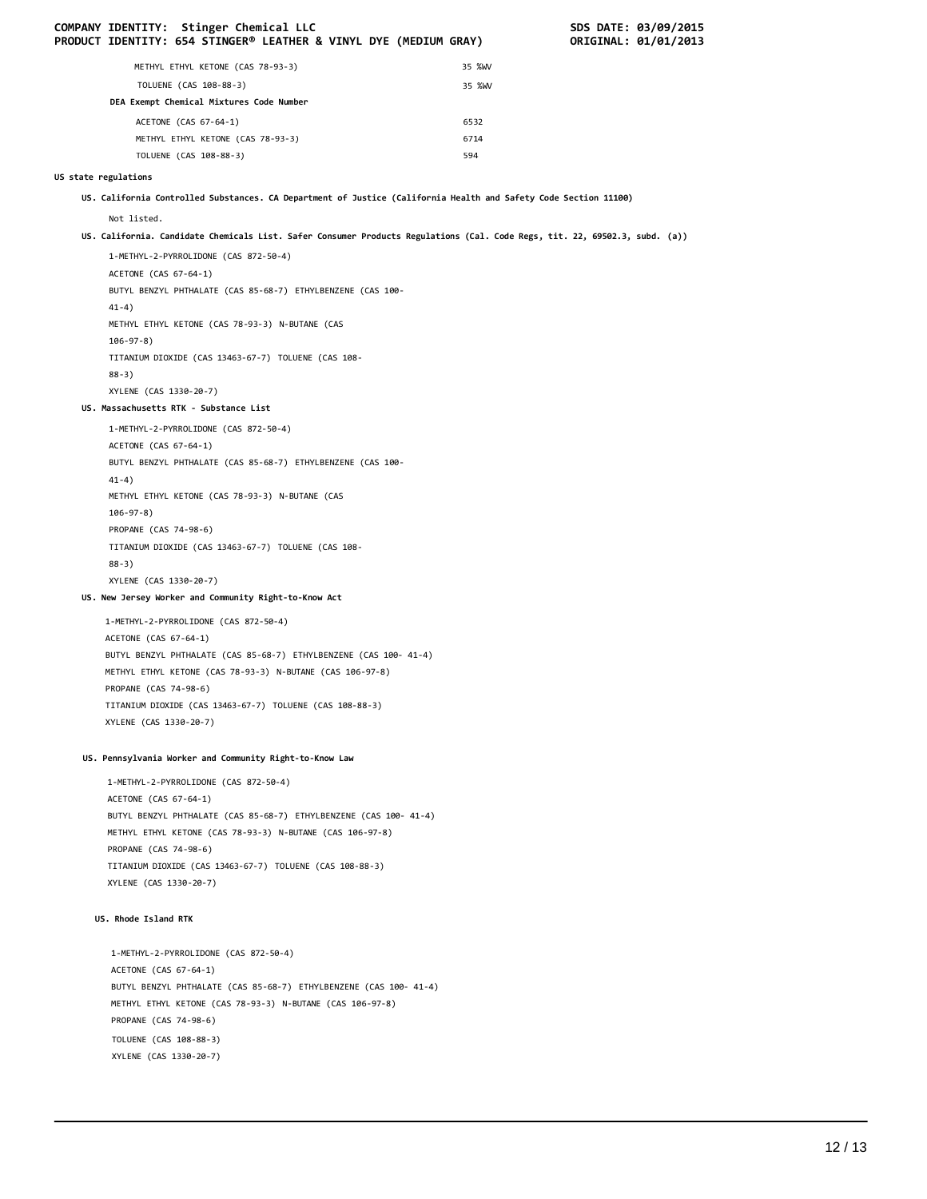|                      | COMPANY IDENTITY: Stinger Chemical LLC<br>PRODUCT IDENTITY: 654 STINGER® LEATHER & VINYL DYE (MEDIUM GRAY)                     |        | SDS DATE: 03/09/2015<br>ORIGINAL: 01/01/2013 |  |
|----------------------|--------------------------------------------------------------------------------------------------------------------------------|--------|----------------------------------------------|--|
|                      | METHYL ETHYL KETONE (CAS 78-93-3)                                                                                              | 35 %WV |                                              |  |
|                      | TOLUENE (CAS 108-88-3)                                                                                                         | 35 %WV |                                              |  |
|                      | DEA Exempt Chemical Mixtures Code Number                                                                                       |        |                                              |  |
|                      | ACETONE (CAS 67-64-1)                                                                                                          | 6532   |                                              |  |
|                      | METHYL ETHYL KETONE (CAS 78-93-3)                                                                                              | 6714   |                                              |  |
|                      | TOLUENE (CAS 108-88-3)                                                                                                         | 594    |                                              |  |
| US state regulations |                                                                                                                                |        |                                              |  |
|                      | US. California Controlled Substances. CA Department of Justice (California Health and Safety Code Section 11100)               |        |                                              |  |
|                      | Not listed.                                                                                                                    |        |                                              |  |
|                      | US. California. Candidate Chemicals List. Safer Consumer Products Regulations (Cal. Code Regs, tit. 22, 69502.3, subd. (a))    |        |                                              |  |
|                      | 1-METHYL-2-PYRROLIDONE (CAS 872-50-4)<br>ACETONE (CAS 67-64-1)                                                                 |        |                                              |  |
|                      | BUTYL BENZYL PHTHALATE (CAS 85-68-7) ETHYLBENZENE (CAS 100-<br>$41-4)$                                                         |        |                                              |  |
|                      | METHYL ETHYL KETONE (CAS 78-93-3) N-BUTANE (CAS<br>$106 - 97 - 8$ )                                                            |        |                                              |  |
|                      | TITANIUM DIOXIDE (CAS 13463-67-7) TOLUENE (CAS 108-                                                                            |        |                                              |  |
|                      | $88-3)$<br>XYLENE (CAS 1330-20-7)                                                                                              |        |                                              |  |
|                      | US. Massachusetts RTK - Substance List                                                                                         |        |                                              |  |
|                      | 1-METHYL-2-PYRROLIDONE (CAS 872-50-4)                                                                                          |        |                                              |  |
|                      | ACETONE (CAS 67-64-1)                                                                                                          |        |                                              |  |
|                      | BUTYL BENZYL PHTHALATE (CAS 85-68-7) ETHYLBENZENE (CAS 100-                                                                    |        |                                              |  |
|                      | $41-4)$                                                                                                                        |        |                                              |  |
|                      | METHYL ETHYL KETONE (CAS 78-93-3) N-BUTANE (CAS                                                                                |        |                                              |  |
|                      | $106 - 97 - 8$ )                                                                                                               |        |                                              |  |
|                      | PROPANE (CAS 74-98-6)                                                                                                          |        |                                              |  |
|                      | TITANIUM DIOXIDE (CAS 13463-67-7) TOLUENE (CAS 108-                                                                            |        |                                              |  |
|                      | $88-3)$<br>XYLENE (CAS 1330-20-7)                                                                                              |        |                                              |  |
|                      | US. New Jersey Worker and Community Right-to-Know Act                                                                          |        |                                              |  |
|                      |                                                                                                                                |        |                                              |  |
|                      | 1-METHYL-2-PYRROLIDONE (CAS 872-50-4)<br>ACETONE (CAS 67-64-1)                                                                 |        |                                              |  |
|                      | BUTYL BENZYL PHTHALATE (CAS 85-68-7) ETHYLBENZENE (CAS 100- 41-4)                                                              |        |                                              |  |
|                      | METHYL ETHYL KETONE (CAS 78-93-3) N-BUTANE (CAS 106-97-8)                                                                      |        |                                              |  |
|                      | PROPANE (CAS 74-98-6)                                                                                                          |        |                                              |  |
|                      | TITANIUM DIOXIDE (CAS 13463-67-7) TOLUENE (CAS 108-88-3)                                                                       |        |                                              |  |
|                      | XYLENE (CAS 1330-20-7)                                                                                                         |        |                                              |  |
|                      | US. Pennsylvania Worker and Community Right-to-Know Law                                                                        |        |                                              |  |
|                      | 1-METHYL-2-PYRROLIDONE (CAS 872-50-4)                                                                                          |        |                                              |  |
|                      | ACETONE (CAS 67-64-1)                                                                                                          |        |                                              |  |
|                      | BUTYL BENZYL PHTHALATE (CAS 85-68-7) ETHYLBENZENE (CAS 100- 41-4)                                                              |        |                                              |  |
|                      | METHYL ETHYL KETONE (CAS 78-93-3) N-BUTANE (CAS 106-97-8)<br>PROPANE (CAS 74-98-6)                                             |        |                                              |  |
|                      | TITANIUM DIOXIDE (CAS 13463-67-7) TOLUENE (CAS 108-88-3)                                                                       |        |                                              |  |
|                      | XYLENE (CAS 1330-20-7)                                                                                                         |        |                                              |  |
|                      | US. Rhode Island RTK                                                                                                           |        |                                              |  |
|                      |                                                                                                                                |        |                                              |  |
|                      | 1-METHYL-2-PYRROLIDONE (CAS 872-50-4)                                                                                          |        |                                              |  |
|                      | ACETONE (CAS 67-64-1)                                                                                                          |        |                                              |  |
|                      | BUTYL BENZYL PHTHALATE (CAS 85-68-7) ETHYLBENZENE (CAS 100- 41-4)<br>METHYL ETHYL KETONE (CAS 78-93-3) N-BUTANE (CAS 106-97-8) |        |                                              |  |
|                      | PROPANE (CAS 74-98-6)                                                                                                          |        |                                              |  |
|                      | TOLUENE (CAS 108-88-3)                                                                                                         |        |                                              |  |
|                      | XYLENE (CAS 1330-20-7)                                                                                                         |        |                                              |  |